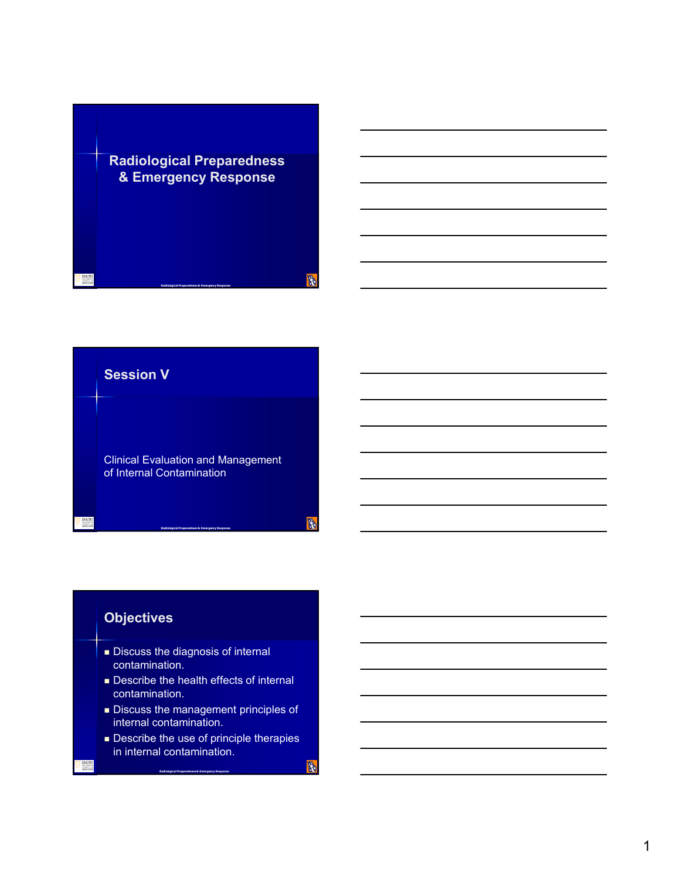



**B** 

A



**Describe the use of principle therapies** in internal contamination.

**Radiological Preparedness & Emergency Response**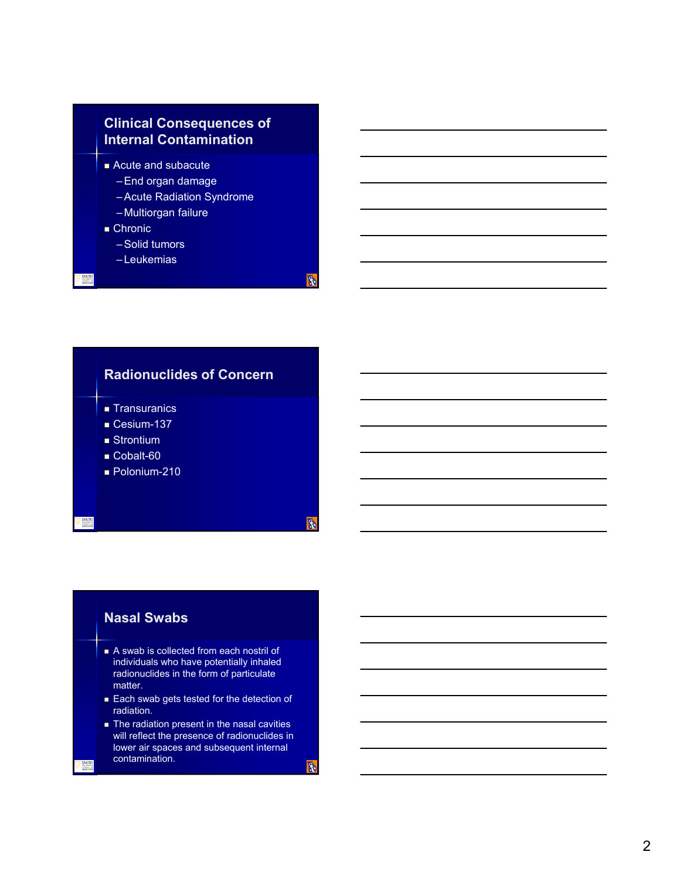# **Clinical Consequences of Internal Contamination**

- Acute and subacute
	- –End organ damage
	- –Acute Radiation Syndrome
	- Multiorgan failure
- Chronic
	- –Solid tumors
	- Leukemias



# **Nasal Swabs**

- A swab is collected from each nostril of individuals who have potentially inhaled radionuclides in the form of particulate matter.
- **Each swab gets tested for the detection of** radiation.
- **The radiation present in the nasal cavities** will reflect the presence of radionuclides in lower air spaces and subsequent internal contamination.

**B** 

**R**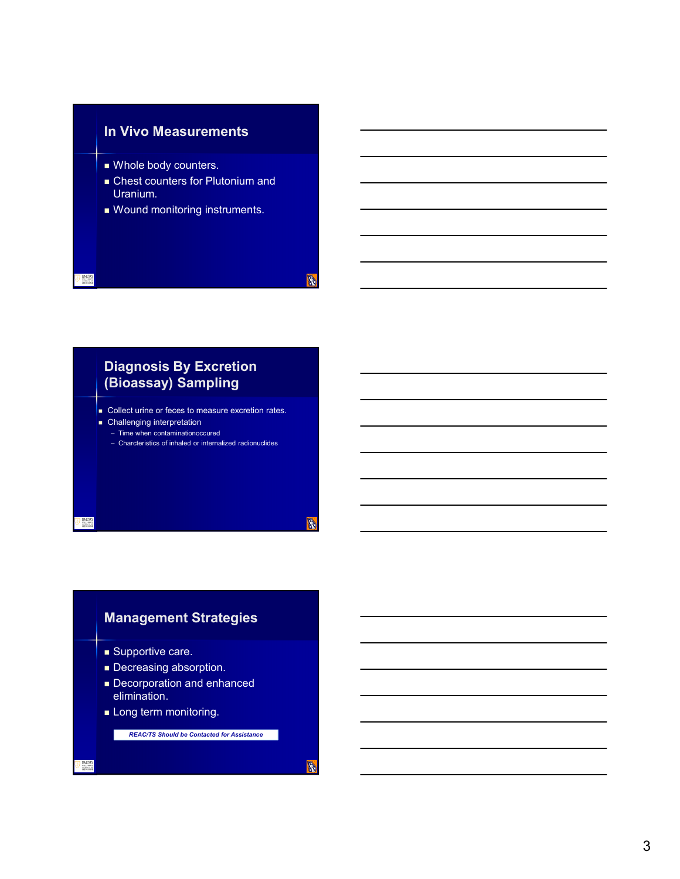# **In Vivo Measurements**

- Whole body counters.
- Chest counters for Plutonium and Uranium.

**B** 

**B** 

A

Wound monitoring instruments.

# **Diagnosis By Excretion (Bioassay) Sampling**

- **Collect urine or feces to measure excretion rates. Challenging interpretation**
- Time when contaminationoccured
- Charcteristics of inhaled or internalized radionuclides

# **Management Strategies**

- **Supportive care.**
- Decreasing absorption.
- Decorporation and enhanced elimination.
- **Long term monitoring.**

*REAC/TS Should be Contacted for Assistance*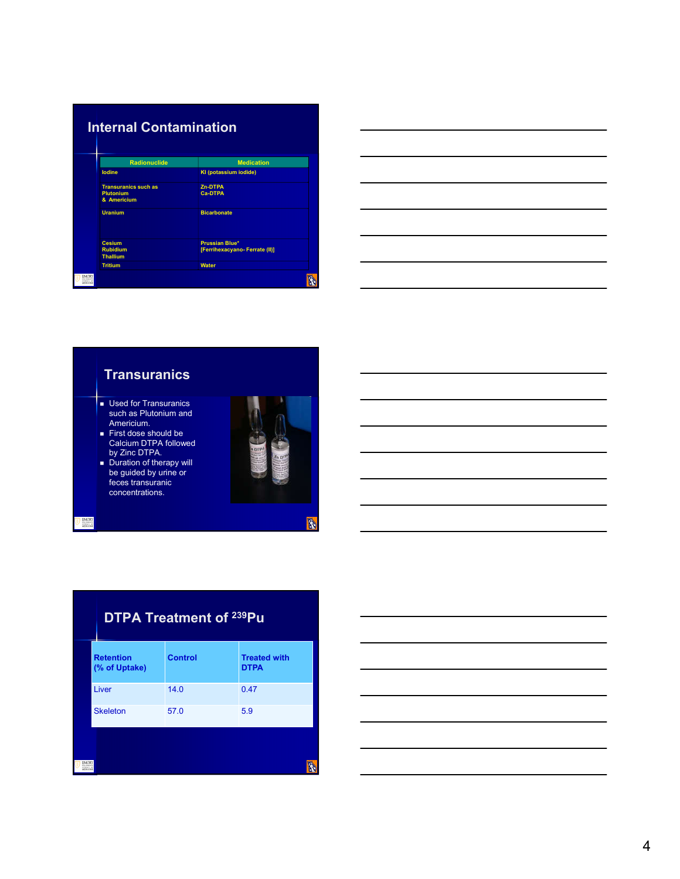| <b>Internal Contamination</b>                                  |                                                        |
|----------------------------------------------------------------|--------------------------------------------------------|
| <b>Radionuclide</b>                                            | <b>Medication</b>                                      |
| lodine                                                         | KI (potassium iodide)                                  |
| <b>Transuranics such as</b><br><b>Plutonium</b><br>& Americium | Zn-DTPA<br><b>Ca-DTPA</b>                              |
| <b>Uranium</b>                                                 | <b>Bicarbonate</b>                                     |
| <b>Cesium</b><br><b>Rubidium</b><br><b>Thallium</b>            | <b>Prussian Blue*</b><br>[Ferrihexacyano-Ferrate (II)] |
| <b>Tritium</b>                                                 | <b>Water</b>                                           |
|                                                                |                                                        |





|                                   | <b>DTPA Treatment of 239Pu</b> |                                    |  |
|-----------------------------------|--------------------------------|------------------------------------|--|
| <b>Retention</b><br>(% of Uptake) | <b>Control</b>                 | <b>Treated with</b><br><b>DTPA</b> |  |
| Liver                             | 14.0                           | 0.47                               |  |
| <b>Skeleton</b>                   | 57.0                           | 5.9                                |  |
|                                   |                                |                                    |  |

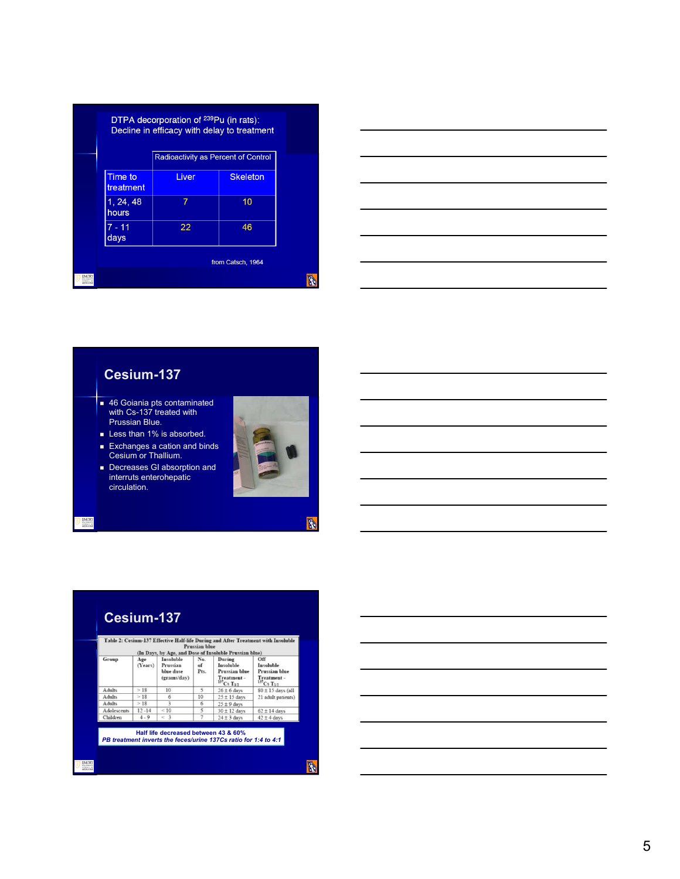|                             | DTPA decorporation of <sup>239</sup> Pu (in rats):<br>Decline in efficacy with delay to treatment |                   |  |
|-----------------------------|---------------------------------------------------------------------------------------------------|-------------------|--|
|                             | Radioactivity as Percent of Control                                                               |                   |  |
| <b>Time to</b><br>treatment | Liver                                                                                             | <b>Skeleton</b>   |  |
| 1, 24, 48<br>hours          | 7                                                                                                 | 10                |  |
| $7 - 11$<br>days            | 22                                                                                                | 46                |  |
|                             |                                                                                                   | from Catsch, 1964 |  |
|                             |                                                                                                   |                   |  |



# **Cesium-137**

- 46 Goiania pts contaminated with Cs-137 treated with Prussian Blue.
- Less than 1% is absorbed.
- **Exchanges a cation and binds** Cesium or Thallium.
- **Decreases GI absorption and** interruts enterohepatic circulation.





|             |                |                                                   | Prussian blue                                     | (In Days, by Age, and Dose of Insoluble Prussian blue)                             | Table 2: Cesium-137 Effective Half-life During and After Treatment with Insoluble |  |
|-------------|----------------|---------------------------------------------------|---------------------------------------------------|------------------------------------------------------------------------------------|-----------------------------------------------------------------------------------|--|
| Group       | Age<br>(Years) | Insoluble<br>Prussian<br>blue dose<br>(grams/day) | No.<br>$\alpha$ <sup><math>f</math></sup><br>Pts. | During<br>Insoluble<br>Prussian blue<br>Treatment -<br>$^{137}C_5$ T <sub>12</sub> | Off<br>Insoluble<br>Prussian blue<br>Treatment -<br>$137Cs$ T <sub>12</sub>       |  |
| Adults      | >18            | 10                                                | 5                                                 | $26 \pm 6$ days                                                                    | $80 \pm 15$ days (all                                                             |  |
| Adults      | >18            | 6                                                 | 10                                                | $25 \pm 15$ days                                                                   | 21 adult patients)                                                                |  |
| Adults      | >18            | 3                                                 | 6                                                 | $25 \pm 9$ days                                                                    |                                                                                   |  |
| Adolescents | $12 - 14$      | ${}_{<}10$                                        | 5                                                 | $30 \pm 12$ days                                                                   | $62 \pm 14$ days                                                                  |  |
| Children    | $4 - 9$        | $<$ 3                                             | 7                                                 | $24 \pm 3$ days                                                                    | $42 \pm 4$ days                                                                   |  |
|             |                | Half life decreased between 43 & 60%              |                                                   | PB treatment inverts the feces/urine 137Cs ratio for 1:4 to 4:1                    |                                                                                   |  |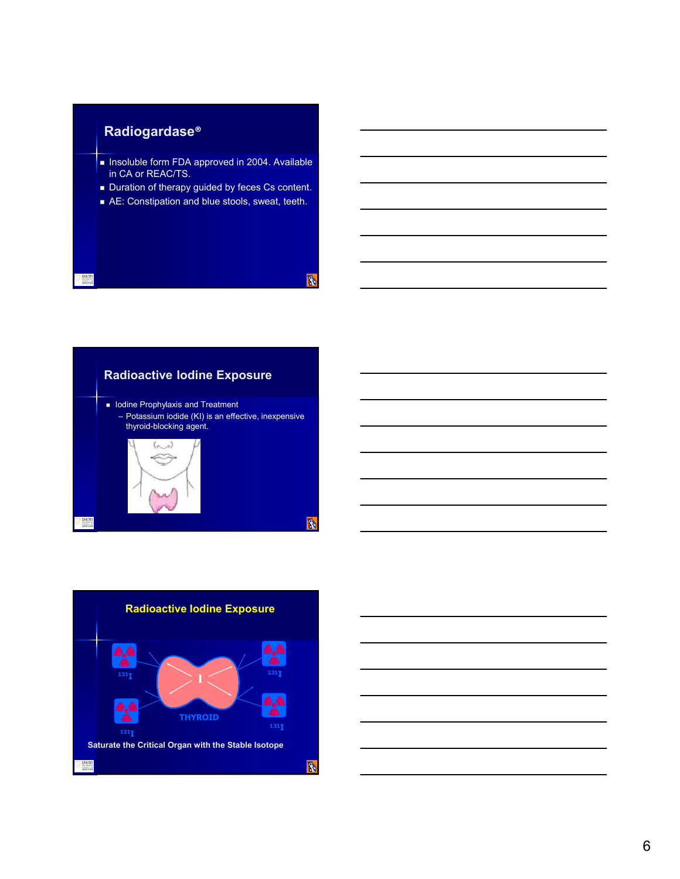# **Radiogardase®**

 $\frac{1}{2}$ 

- Insoluble form FDA approved in 2004. Available in CA or REAC/TS.
- Duration of therapy guided by feces Cs content.
- AE: Constipation and blue stools, sweat, teeth.

**R** 





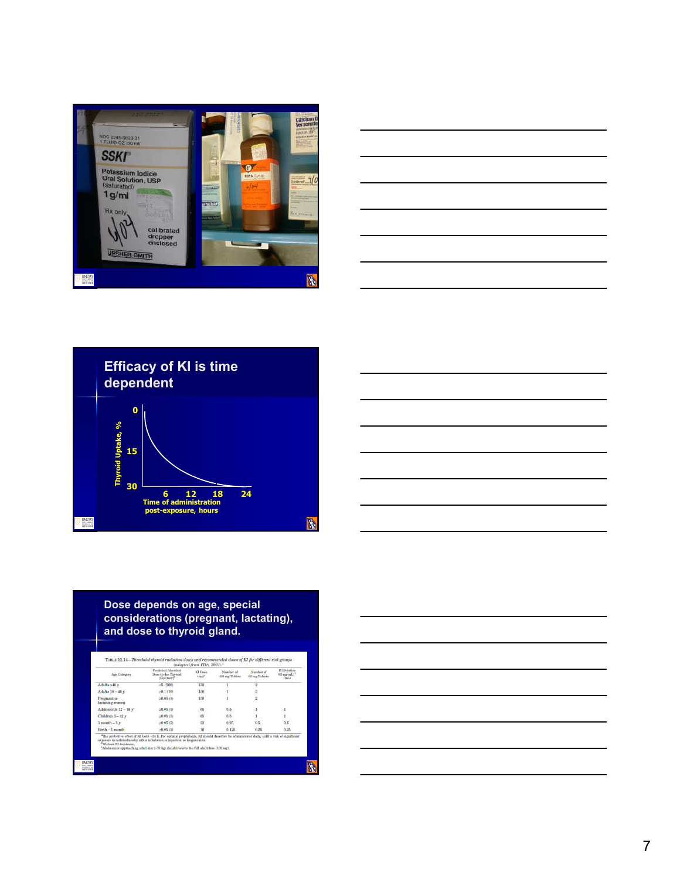







## **Dose depends on age, special considerations (pregnant, lactating), and dose to thyroid gland.**

| Age Category                                                                                                                                                                                       | Proficiel Absorbed<br>Down to the Thyroid<br>(Gy trudif <sup>3</sup>                                                                      | KI Doss<br>ing? | Number of<br>130 mg Tabbas | Number of<br>65 mg Tablets | <b>KI Solution</b><br>65 mg nil."<br>(mL) |
|----------------------------------------------------------------------------------------------------------------------------------------------------------------------------------------------------|-------------------------------------------------------------------------------------------------------------------------------------------|-----------------|----------------------------|----------------------------|-------------------------------------------|
| Adults >40 y                                                                                                                                                                                       | a5 (500)                                                                                                                                  | 130             |                            | s                          |                                           |
| Adults $18 - 40y$                                                                                                                                                                                  | $20.1 + 101$                                                                                                                              | 330             |                            | 2                          |                                           |
| Programt or<br>lactating women                                                                                                                                                                     | 20.06(5)                                                                                                                                  | 100<br>95.      |                            | 2                          |                                           |
| Adolescents 12 - 18 y*                                                                                                                                                                             | $20.06$ (h)                                                                                                                               | 65              | $0.5^{\circ}$              |                            | r                                         |
| Children $3-12s$                                                                                                                                                                                   | (25,00.0)                                                                                                                                 | 65              | 0.5                        |                            | i                                         |
| $1$ month $-3y$                                                                                                                                                                                    | 20.06 (五)                                                                                                                                 | 32              | 0.25                       | 0.5                        | 0.5                                       |
| Birth - 1 month                                                                                                                                                                                    | (25, 20.0)                                                                                                                                | 16              | 0.125                      | 0.25                       | 0.25                                      |
| exposure to radioindings by either inhabition or ingestion to longer exists.<br>"Without KI trastmant.<br>"Adolormate approaching solut size (-70 kg) should receive the full adult done (130 mg). | "The protective effect of KI lasts -24 h. For optimal prophylaxis, KI should therefore be administered daily, until a risk of significant |                 |                            |                            |                                           |

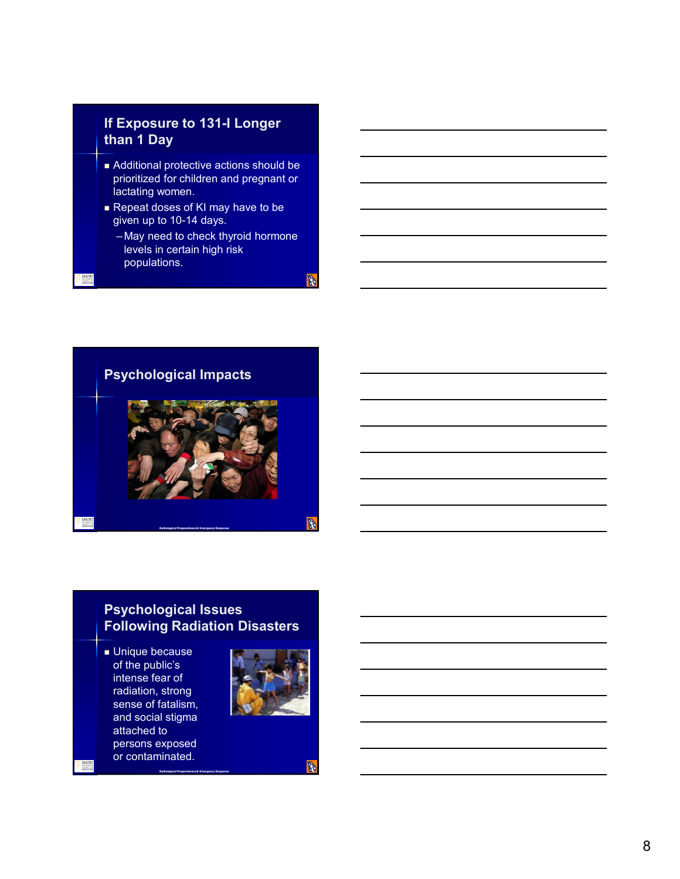# **If Exposure to 131-I Longer than 1 Day**

- Additional protective actions should be prioritized for children and pregnant or lactating women.
- Repeat doses of KI may have to be given up to 10-14 days.
	- May need to check thyroid hormone levels in certain high risk populations.

**B** 



# **Psychological Issues Following Radiation Disasters**

**Radiological Preparedness & Emergency Response**

**Unique because** of the public's intense fear of radiation, strong sense of fatalism, and social stigma attached to persons exposed or contaminated.



A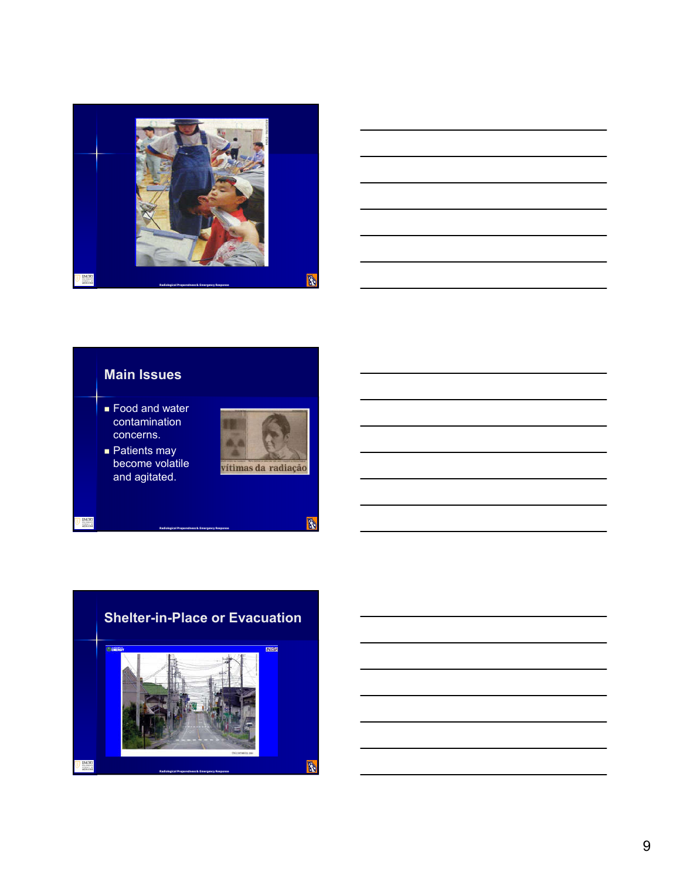

# **Main Issues**

- Food and water contamination concerns.
- Patients may become volatile and agitated.

EMORY<br>HEDGEN



 $\begin{picture}(20,20) \put(0,0){\line(1,0){10}} \put(15,0){\line(1,0){10}} \put(15,0){\line(1,0){10}} \put(15,0){\line(1,0){10}} \put(15,0){\line(1,0){10}} \put(15,0){\line(1,0){10}} \put(15,0){\line(1,0){10}} \put(15,0){\line(1,0){10}} \put(15,0){\line(1,0){10}} \put(15,0){\line(1,0){10}} \put(15,0){\line(1,0){10}} \put(15,0){\line(1$ 



**Radiological Preparedness & Emergency Response**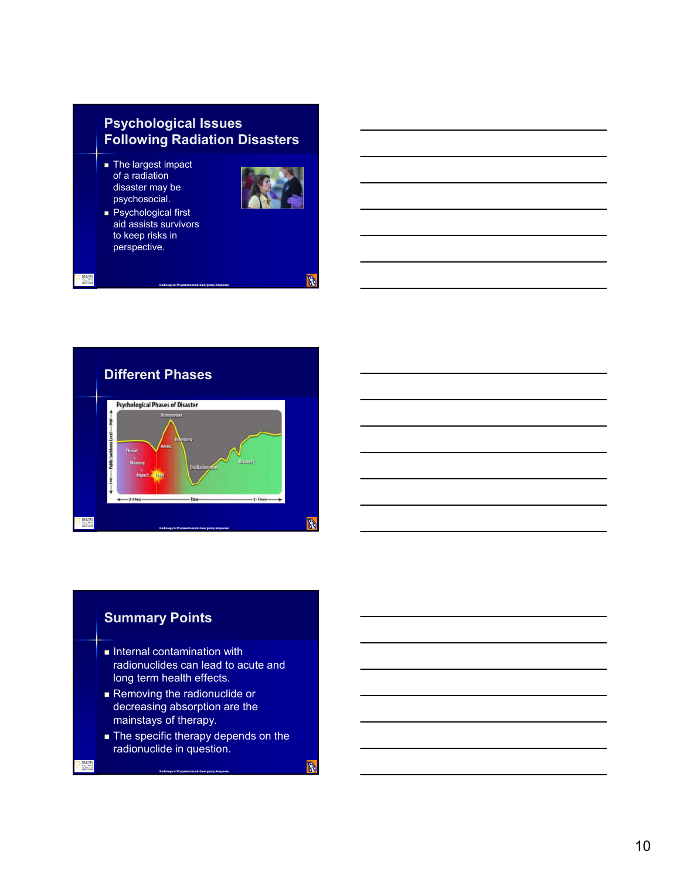# **Psychological Issues Following Radiation Disasters**

- **The largest impact** of a radiation disaster may be psychosocial.
- Psychological first aid assists survivors to keep risks in perspective.



**B** 



**Radiological Preparedness & Emergency Response**

# **Summary Points**

- $\blacksquare$  Internal contamination with radionuclides can lead to acute and long term health effects.
- **Removing the radionuclide or** decreasing absorption are the mainstays of therapy.
- The specific therapy depends on the radionuclide in question.

**Radiological Preparedness & Emergency Response**

**B**